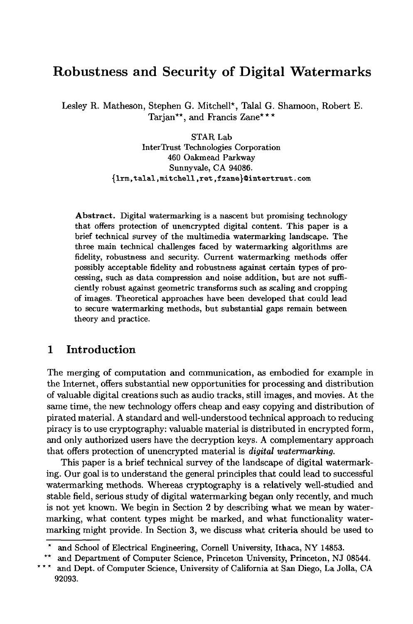# **Robustness and Security of Digital Watermarks**

Lesley R. Matheson, Stephen G. Mitchell\*, Talal G. Shamoon, Robert E. Tarian\*\*, and Francis Zane\*\*\*

> STAR Lab InterTrust Technologies Corporation 460 Oakmead Parkway Sunnyvale, CA 94086. {lrm, talal, mitchell, ret, fzane}@intertrust.com

Abstract. Digital watermarking is a nascent but promising technology that offers protection of unencrypted digital content. This paper is a brief technical survey of the multimedia watermarking landscape. The three main technical challenges faced by watermarking algorithms are fidelity, robustness and security. Current watermarking methods offer possibly acceptable fidelity and robustness against certain types of processing, such as data compression and noise addition, but are not sufficiently robust against geometric transforms such as scaling and cropping of images. Theoretical approaches have been developed that could lead to secure watermarking methods, but substantial gaps remain between theory and practice.

## **1 Introduction**

The merging of computation and communication, as embodied for example in the lnternet, offers substantial new opportunities for processing and distribution of valuable digital creations such as audio tracks, still images, and movies. At the same time, the new technology offers cheap and easy copying and distribution of pirated material. A standard and well-understood technical approach to reducing piracy is to use cryptography: valuable material is distributed in encrypted form, and only authorized users have the decryption keys. A complementary approach that offers protection of unencrypted material is *digital watermarking.* 

This paper is a brief technical survey of the landscape of digital watermarking. Our goal is to understand the general principles that could lead to successful watermarking methods. Whereas cryptography is a relatively well-studied and stable field, serious study of digital watermarking began only recently, and much is not yet known. We begin in Section 2 by describing what we mean by watermarking, what content types might be marked, and what functionality watermarking might provide. In Section 3, we discuss what criteria should be used to

and School of Electrical Engineering, Cornell University, Ithaca, NY 14853.

and Department of Computer Science, Princeton University, Princeton, NJ 08544.

<sup>\*\*\*</sup> and Dept. of Computer Science, University of California at San Diego, La Jolla, CA 92093.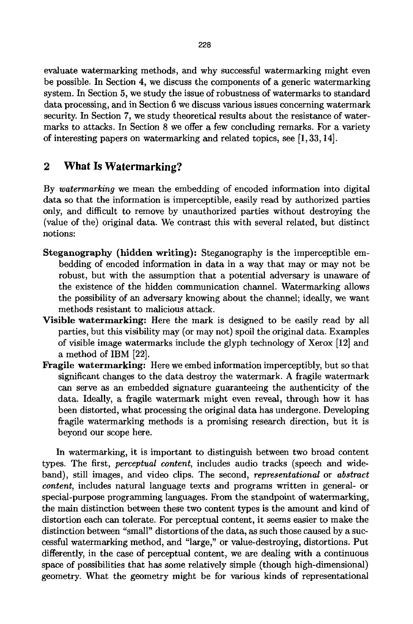evaluate watermarking methods, and why successful watermarking might even be possible. In Section 4, we discuss the components of a generic watermarking system. In Section 5, we study the issue of robustness of watermarks to standard data processing, and in Section 6 we discuss various issues concerning watermark security. In Section 7, we study theoretical results about the resistance of watermarks to attacks. In Section 8 we offer a few concluding remarks. For a variety of interesting papers on watermarking and related topics, see [1, 33, 14].

# **2 What Is Watermarking?**

By *watermarking* we mean the embedding of encoded information into digital data so that the information is imperceptible, easily read by authorized parties only, and difficult to remove by unauthorized parties without destroying the (value of the) original data. We contrast this with several related, but distinct notions:

- Steganography (hidden writing): Steganography is the imperceptible embedding of encoded information in data in a way that may or may not be robust, but with the assumption that a potential adversary is unaware of the existence of the hidden communication channel. Watermarking allows the possibility of an adversary knowing about the channel; ideally, we want methods resistant to malicious attack.
- Visible watermarking: Here the mark is designed to be easily read by all parties, but this visibility may (or may not) spoil the original data. Examples of visible image watermarks include the glyph technology of Xerox [12] and a method of IBM [22].
- Fragile watermarking: Here we embed information imperceptibly, but so that significant changes to the data destroy the watermark. A fragile watermark can serve as an embedded signature guaranteeing the authenticity of the data. Ideally, a fragile watermark might even reveal, through how it has been distorted, what processing the original data has undergone. Developing fragile watermarking methods is a promising research direction, but it is beyond our scope here.

In watermarking, it is important to distinguish between two broad content types. The first, *perceptual content,* includes audio tracks (speech and wideband), still images, and video clips. The second, *representational* or *abstract content,* includes natural language texts and programs written in general- or special-purpose programming languages. From the standpoint of watermarking, the main distinction between these two content types is the amount and kind of distortion each can tolerate. For perceptual content, it seems easier to make the distinction between "small" distortions of the data, as such those caused by a successful watermarking method, and "large," or value-destroying, distortions. Put differently, in the case of perceptual content, we are dealing with a continuous space of possibilities that has some relatively simple (though high-dimensional) geometry. What the geometry might be for various kinds of representational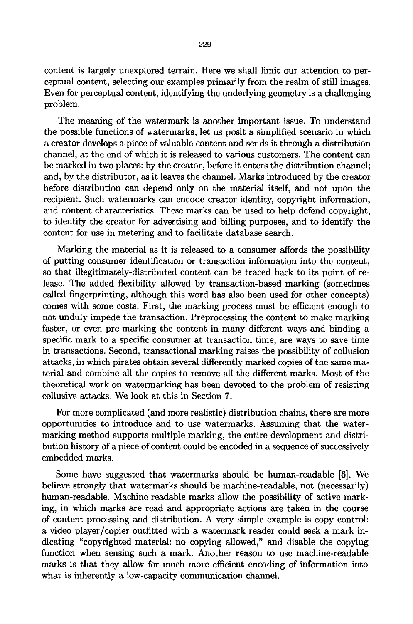content is largely unexplored terrain. Here we shall limit our attention to perceptual content, selecting our examples primarily from the realm of still images. Even for perceptual content, identifying the underlying geometry is a challenging problem.

The meaning of the watermark is another important issue. To understand the possible functions of watermarks, let us posit a simplified scenario in which a creator develops a piece of valuable content and sends it through a distribution channel, at the end of which it is released to various customers. The content can be marked in two places: by the creator, before it enters the distribution channel; and, by the distributor, as it leaves the channel. Marks introduced by the creator before distribution can depend only on the material itself, and not upon the recipient. Such watermarks can encode creator identity, copyright information, and content characteristics. These marks can be used to help defend copyright, to identify the creator for advertising and billing purposes, and to identify the content for use in metering and to facilitate database search.

Marking the material as it is released to a consumer affords the possibility of putting consumer identification or transaction information into the content, so that illegitimately-distributed content can be traced back to its point of release. The added flexibility allowed by transaction-based marking (sometimes called fingerprinting, although this word has also been used for other concepts) comes with some costs. First, the marking process must be efficient enough to not unduly impede the transaction. Preprocessing the content to make marking faster, or even pre-marking the content in many different ways and binding a specific mark to a specific consumer at transaction time, are ways to save time in transactions. Second, transactional marking raises the possibility of collusion attacks, in which pirates obtain several differently marked copies of the same material and combine all the copies to remove all the different marks. Most of the theoretical work on watermarking has been devoted to the problem of resisting collusive attacks. We look at this in Section 7.

For more complicated (and more realistic) distribution chains, there are more opportunities to introduce and to use watermarks. Assuming that the watermarking method supports multiple marking, the entire development and distribution history of a piece of content could be encoded in a sequence of successively embedded marks.

Some have suggested that watermarks should be human-readable [6]. We believe strongly that watermarks should be machine-readable, not (necessarily) human-readable. Machine-readable marks allow the possibility of active marking, in which marks are read and appropriate actions are taken in the course of content processing and distribution. A very simple example is copy control: a video player/copier outfitted with a watermark reader could seek a mark indicating "copyrighted material: no copying allowed," and disable the copying function when sensing such a mark. Another reason to use machine-readable marks is that they allow for much more efficient encoding of information into what is inherently a low-capacity communication channel.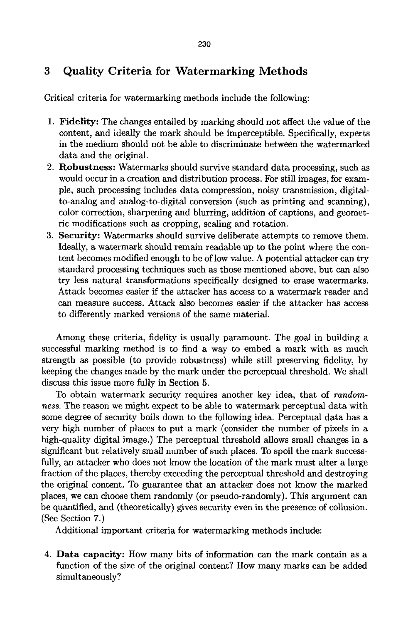# 3 Quality **Criteria for Watermarking Methods**

Critical criteria for watermarking methods include the following:

- 1. Fidelity: The changes entailed by marking should not affect the value of the content, and ideally the mark should be imperceptible. Specifically, experts in the medium should not be able to discriminate between the watermarked data and the original.
- 2. Robustness: Watermarks should survive standard data processing, such as would occur in a creation and distribution process. For still images, for example, such processing includes data compression, noisy transmission, digitalto-analog and analog-to-digital conversion (such as printing and scanning), color correction, sharpening and blurring, addition of captions, and geometric modifications such as cropping, scaling and rotation.
- 3. Security: Watermarks should survive deliberate attempts to remove them. Ideally, a watermark should remain readable up to the point where the content becomes modified enough to be of low value. A potential attacker can try standard processing techniques such as those mentioned above, but can also try less natural transformations specifically designed to erase watermarks. Attack becomes easier if the attacker has access to a watermark reader and can measure success. Attack also becomes easier if the attacker has access to differently marked versions of the same material.

Among these criteria, fidelity is usually paramount. The goal in building a successful marking method is to find a way to embed a mark with as much strength as possible (to provide robustness) while still preserving fidelity, by keeping the changes made by the mark under the perceptual threshold. We shall discuss this issue more fully in Section 5.

To obtain watermark security requires another key idea, that of *randomness.* The reason we might expect to be able to watermark perceptual data with some degree of security boils down to the following idea. Perceptual data has a very high number of places to put a mark (consider the number of pixels in a high-quality digital image.) The perceptual threshold allows small changes in a significant but relatively small number of such places. To spoil the mark successfully, an attacker who does not know the location of the mark must alter a large fraction of the places, thereby exceeding the perceptual threshold and destroying the original content. To guarantee that an attacker does not know the marked places, we can choose them randomly (or pseudo-randomly). This argument can be quantified, and (theoretically) gives security even in the presence of collusion. (See Section 7.)

Additional important criteria for watermarking methods include:

4. Data capacity: How many bits of information can the mark contain as a function of the size of the original content? How many marks can be added simultaneously?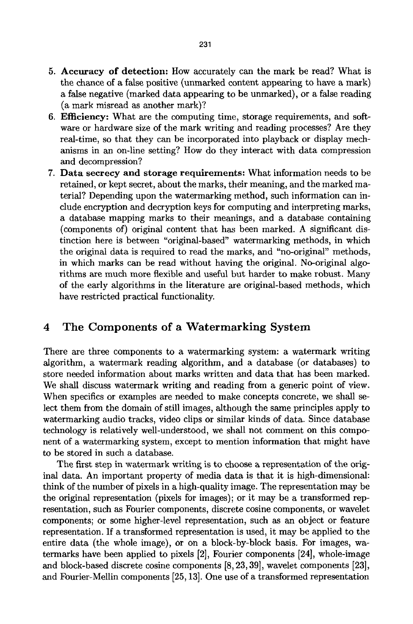- 5. Accuracy of detection: How accurately can the mark be read? What is the chance of a false positive (unmarked content appearing to have a mark) a false negative (marked data appearing to be unmarked), or a false reading (a mark misread as another mark)?
- 6. Efficiency: What are the computing time, storage requirements, and software or hardware size of the mark writing and reading processes? Are they real-time, so that they can be incorporated into playback or display mechanisms in an on-line setting? How do they interact with data compression and decompression?
- 7. Data secrecy and storage requirements: What information needs to be retained, or kept secret, about the marks, their meaning, and the marked material? Depending upon the watermarking method, such information can include encryption and decryption keys for computing and interpreting marks, a database mapping marks to their meanings, and a database containing (components of) original content that has been marked. A significant distinction here is between "original-based" watermarking methods, in which the original data is required to read the marks, and "no-original" methods, in which marks can be read without having the original. No-original algorithms axe much more flexible and useful but harder to make robust. Many of the early algorithms in the literature are original-based methods, which have restricted practical functionality.

## 4 The Components of a Watermarking System

There are three components to a watermarking system: a watermark writing algorithm, a watermark reading algorithm, and a database (or databases) to store needed information about marks written and data that has been marked. We shall discuss watermark writing and reading from a generic point of view. When specifics or examples are needed to make concepts concrete, we shall select them from the domain of still images, although the same principles apply to watermarking audio tracks, video clips or similar kinds of data. Since database technology is relatively well-understood, we shall not comment on this component of a watermarking system, except to mention information that might have to be stored in such a database.

The first step in watermark writing is to choose a representation of the original data. An important property of media data is that it is high-dimensional: think of the number of pixels in a high-quality image. The representation may be the original representation (pixels for images); or it may be a transformed representation, such as Fourier components, discrete cosine components, or wavelet components; or some higher-level representation, such as an object or feature representation. If a transformed representation is used, it may be applied to the entire data (the whole image), or on a block-by-block basis. For images, watermarks have been applied to pixels [2], Fourier components [24], whole-image and block-based discrete cosine components [8, 23, 39], wavelet components [23], and Fourier-Mellin components [25, 13]. One use of a transformed representation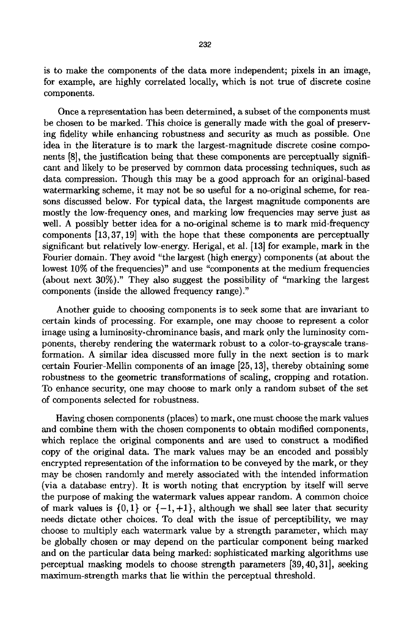is to make the components of the data more independent; pixels in an image, for example, are highly correlated locally, which is not true of discrete cosine components.

Once a representation has been determined, a subset of the components must be chosen to be marked. This choice is generally made with the goal of preserving fidelity while enhancing robustness and security as much as possible. One idea in the literature is to mark the largest-magnitude discrete cosine components [8], the justification being that these components are perceptually significant and likely to be preserved by common data processing techniques, such as data compression. Though this may be a good approach for an original-based watermarking scheme, it may not be so useful for a no-original scheme, for reasons discussed below. For typical data, the largest magnitude components are mostly the low-frequency ones, and marking low frequencies may serve just as well. A possibly better idea for a no-original scheme is to mark mid-frequency components [13, 37, 19] with the hope that these components are perceptually significant but relatively low-energy. Herigal, et al. [13] for example, mark in the Fourier domain. They avoid "the largest (high energy) components (at about the lowest 10% of the frequencies)" and use "components at the medium frequencies (about next 30%)." They also suggest the possibility of "marking the largest components (inside the allowed frequency range)."

Another guide to choosing components is to seek some that are invariant to certain kinds of processing. For example, one may choose to represent a color image using a luminosity-chrominance basis, and mark only the luminosity components, thereby rendering the watermark robust to a color-to-grayscale transformation. A similar idea discussed more fully in the next section is to mark certain Fourier-Mellin components of an image [25, 13], thereby obtaining some robustness to the geometric transformations of scaling, cropping and rotation. To enhance security, one may choose to mark only a random subset of the set of components selected for robustness.

Having chosen components (places) to mark, one must choose the mark values and combine them with the chosen components to obtain modified components, which replace the original components and are used to construct a modified copy of the original data. The mark values may be an encoded and possibly encrypted representation of the information to be conveyed by the mark, or they may be chosen randomly and merely associated with the intended information (via a database entry). It is worth noting that encryption by itself will serve the purpose of making the watermark values appear random. A common choice of mark values is  $\{0,1\}$  or  $\{-1,+1\}$ , although we shall see later that security needs dictate other choices. To deal with the issue of perceptibility, we may choose to multiply each watermark value by a strength parameter, which may be globally chosen or may depend on the particular component being marked and on the particular data being marked: sophisticated marking algorithms use perceptual masking models to choose strength parameters [39,40, 31], seeking maximum-strength marks that lie within the perceptual threshold.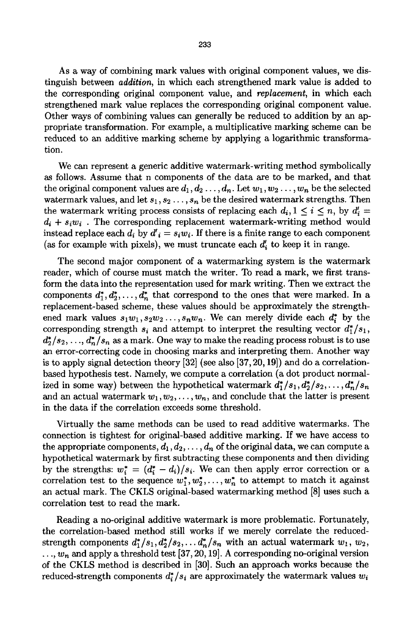As a way of combining mark values with original component values, we distinguish between *addition,* in which each strengthened mark value is added to the corresponding original component value, and *replacement,* in which each strengthened mark value replaces the corresponding original component value. Other ways of combining values can generally be reduced to addition by an appropriate transformation. For example, a multiplicative marking scheme can be reduced to an additive marking scheme by applying a logarithmic transformation.

We can represent a generic additive watermark-writing method symbolically as follows. Assume that n components of the data are to be marked, and that the original component values are  $d_1, d_2, \ldots, d_n$ . Let  $w_1, w_2, \ldots, w_n$  be the selected watermark values, and let  $s_1, s_2, \ldots, s_n$  be the desired watermark strengths. Then the watermark writing process consists of replacing each  $d_i, 1 \leq i \leq n$ , by  $d'_i =$  $d_i + s_i w_i$ . The corresponding replacement watermark-writing method would instead replace each  $d_i$  by  $d'_i = s_i w_i$ . If there is a finite range to each component (as for example with pixels), we must truncate each  $d'_{i}$  to keep it in range.

The second major component of a watermarking system is the watermark reader, which of course must match the writer. To read a mark, we first transform the data into the representation used for mark writing. Then we extract the components  $d_1^*, d_2^*, \ldots, d_n^*$  that correspond to the ones that were marked. In a replacement-based scheme, these values should be approximately the strengthened mark values  $s_1w_1, s_2w_2 \ldots, s_nw_n$ . We can merely divide each  $d_i^*$  by the corresponding strength  $s_i$  and attempt to interpret the resulting vector  $d_1^*/s_1$ ,  $d_2^*/s_2, \ldots, d_n^*/s_n$  as a mark. One way to make the reading process robust is to use an error-correcting code in choosing marks and interpreting them. Another way is to apply signal detection theory  $[32]$  (see also  $[37, 20, 19]$ ) and do a correlationbased hypothesis test. Namely, we compute a correlation (a dot product normalized in some way) between the hypothetical watermark  $d_1^*/s_1, d_2^*/s_2, \ldots, d_n^*/s_n$ and an actual watermark  $w_1, w_2, \ldots, w_n$ , and conclude that the latter is present in the data if the correlation exceeds some threshold.

Virtually the same methods can be used to read additive watermarks. The connection is tightest for original-based additive marking. If we have access to the appropriate components,  $d_1, d_2, \ldots, d_n$  of the original data, we can compute a hypothetical watermark by first subtracting these components and then dividing by the strengths:  $w_i^* = (d_i^* - d_i)/s_i$ . We can then apply error correction or a correlation test to the sequence  $w_1^*, w_2^*, \ldots, w_n^*$  to attempt to match it against an actual mark. The CKLS original-based watermarking method [8] uses such a correlation test to read the mark.

Reading a no-original additive watermark is more problematic. Fortunately, the correlation-based method still works if we merely correlate the reducedstrength components  $d_1^*/s_1, d_2^*/s_2, \ldots d_n^*/s_n$  with an actual watermark  $w_1, w_2$ ,  $\dots, w_n$  and apply a threshold test [37, 20, 19]. A corresponding no-original version of the CKLS method is described in [30]. Such an approach works because the reduced-strength components  $d_i^*/s_i$  are approximately the watermark values  $w_i$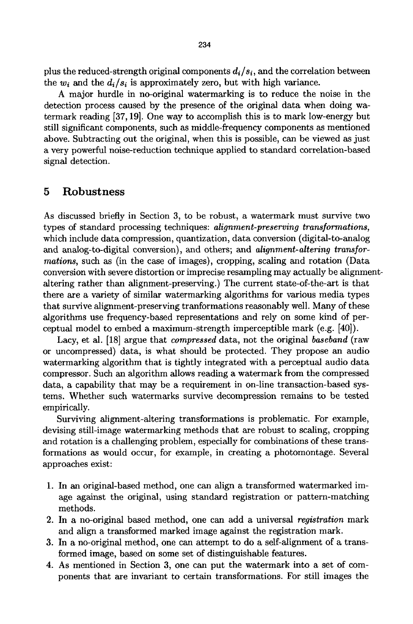plus the reduced-strength original components *di/si,* and the correlation between the  $w_i$  and the  $d_i/s_i$  is approximately zero, but with high variance.

A major hurdle in no-original watermarking is to reduce the noise in the detection process caused by the presence of the original data when doing watermark reading [37, 19]. One way to accomplish this is to mark low-energy but still significant components, such as middle-frequency components as mentioned above. Subtracting out the original, when this is possible, can be viewed as just a very powerful noise-reduction technique applied to standard correlation-based signal detection.

#### 5 Robustness

As discussed briefly in Section 3, to be robust, a watermark must survive two types of standard processing techniques: *alignment-preserving trans/ormations,*  which include data compression, quantization, data conversion (digital-to-analog and analog-to-digital conversion), and others; and *alignment-altering transformations,* such as (in the case of images), cropping, scaling and rotation (Data conversion with severe distortion or imprecise resampling may actually be alignmentaltering rather than alignment-preserving.) The current state-of-the-art is that there are a variety of similar watermarking algorithms for various media types that survive alignment-preserving tranformations reasonably well. Many of these algorithms use frequency-based representations and rely on some kind of perceptual model to embed a maximum-strength imperceptible mark (e.g. [40]).

Lacy, et al. [18] argue that *compressed* data, not the original *baseband* (raw or uncompressed) data, is what should be protected. They propose an audio watermarking algorithm that is tightly integrated with a perceptual audio data compressor. Such an algorithm allows reading a watermark from the compressed data, a capability that may be a requirement in on-line transaction-based systems. Whether such watermarks survive decompression remains to be tested empirically.

Surviving alignment-altering transformations is problematic. For example, devising still-image watermarking methods that are robust to scaling, cropping and rotation is a challenging problem, especially for combinations of these transformations as would occur, for example, in creating a photomontage. Several approaches exist:

- 1. In an original-based method, one can align a transformed watermarked image against the original, using standard registration or pattern-matching methods.
- 2. In a no-original based method, one can add a universal *registration* mark and align a transformed marked image against the registration mark.
- 3. In a no-original method, one can attempt to do a self-alignment of a transformed image, based on some set of distinguishable features.
- 4. As mentioned in Section 3, one can put the watermark into a set of components that are invariant to certain transformations. For still images the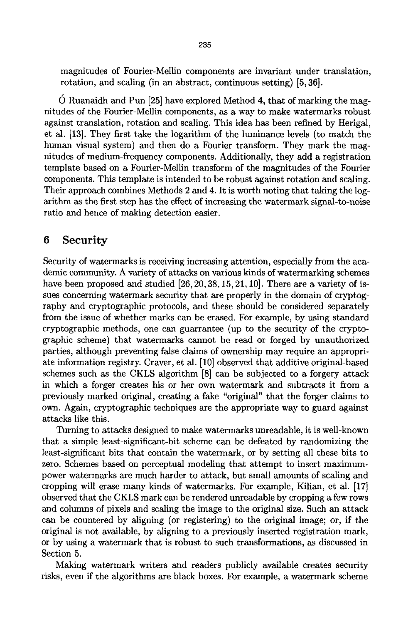magnitudes of Fourier-Mellin components are invariant under translation, rotation, and scaling (in an abstract, continuous setting) [5, 36].

 $\acute{O}$  Ruanaidh and Pun [25] have explored Method 4, that of marking the magnitudes of the Fourier-Mellin components, as a way to make watermarks robust against translation, rotation and scaling. This idea has been refined by Herigal, et al. [13]. They first take the logarithm of the luminance levels (to match the human visual system) and then do a Fourier transform. They mark the magnitudes of medium-frequency components. Additionally, they add a registration template based on a Fourier-Mellin transform of the magnitudes of the Fourier components. This template is intended to be robust against rotation and scaling. Their approach combines Methods 2 and 4. It is worth noting that taking the logarithm as the first step has the effect of increasing the watermark signal-to-noise ratio and hence of making detection easier.

#### 6 Security

Security of watermarks is receiving increasing attention, especially from the academic community. A variety of attacks on various kinds of watermarking schemes have been proposed and studied [26, 20, 38, 15, 21, 10]. There are a variety of issues concerning watermark security that are properly in the domain of cryptography and cryptographic protocols, and these should be considered separately from the issue of whether marks can be erased. For example, by using standard cryptographic methods, one can guarrantee (up to the security of the cryptographic scheme) that watermarks cannot be read or forged by unauthorized parties, although preventing false claims of ownership may require an appropriate information registry. Craver, et al. [10] observed that additive original-based schemes such as the CKLS algorithm [8] can be subjected to a forgery attack in which a forger creates his or her own watermark and subtracts it from a previously marked original, creating a fake "original" that the forger claims to own. Again, cryptographic techniques are the appropriate way to guard against attacks like this.

Turning to attacks designed to make watermarks unreadable, it is well-known that a simple least-significant-bit scheme can be defeated by randomizing the least-significant bits that contain the watermark, or by setting all these bits to zero. Schemes based on perceptual modeling that attempt to insert maximumpower watermarks are much harder to attack, but small amounts of scaling and cropping will erase many kinds of watermarks. For example, Kilian, et al. [17] observed that the CKLS mark can be rendered unreadable by cropping a few rows and columns of pixels and scaling the image to the original size. Such an attack can be countered by aligning (or registering) to the original image; or, if the original is not available, by aligning to a previously inserted registration mark, or by using a watermark that is robust to such transformations, as discussed in Section 5.

Making watermark writers and readers publicly available creates security risks, even if the algorithms are black boxes. For example, a watermark scheme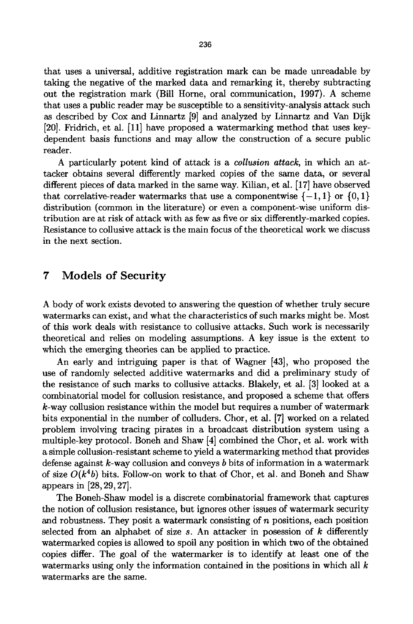that uses a universal, additive registration mark can be made unreadable by taking the negative of the marked data and remarking it, thereby subtracting out the registration mark (Bill Home, oral communication, 1997). A scheme that uses a public reader may be susceptible to a sensitivity-analysis attack such as described by Cox and Linnartz [9] and analyzed by Linnartz and Van Dijk [20]. Fridrich, et al. [11] have proposed a watermarking method that uses keydependent basis functions and may allow the construction of a secure public reader.

A particularly potent kind of attack is a *collusion attack,* in which an attacker obtains several differently marked copies of the same data, or several different pieces of data marked in the same way. Kilian, et al. [17] have observed that correlative-reader watermarks that use a componentwise  $\{-1,1\}$  or  $\{0,1\}$ distribution (common in the literature) or even a component-wise uniform distribution are at risk of attack with as few as five or six differently-marked copies. Resistance to collusive attack is the main focus of the theoretical work we discuss in the next section.

#### 7 Models of Security

A body of work exists devoted to answering the question of whether truly secure watermarks can exist, and what the characteristics of such marks might be. Most of this work deals with resistance to collusive attacks. Such work is necessarily theoretical and relies on modeling assumptions. A key issue is the extent to which the emerging theories can be applied to practice.

An early and intriguing paper is that of Wagner [43], who proposed the use of randomly selected additive watermarks and did a preliminary study of the resistance of such marks to collusive attacks. Blakely, et al. [3] looked at a combinatorial model for collusion resistance, and proposed a scheme that offers k-way collusion resistance within the model but requires a number of watermark bits exponential in the number of colluders. Chor, et al. [7] worked on a related problem involving tracing pirates in a broadcast distribution system using a multiple-key protocol. Boneh and Shaw [4] combined the Chor, et al. work with a simple collusion-resistant scheme to yield a watermarking method that provides defense against  $k$ -way collusion and conveys b bits of information in a watermark of size  $O(k^4b)$  bits. Follow-on work to that of Chor, et al. and Boneh and Shaw appears in [28, 29, 27].

The Boneh-Shaw model is a discrete combinatorial framework that captures the notion of collusion resistance, but ignores other issues of watermark security and robustness. They posit a watermark consisting of  $n$  positions, each position selected from an alphabet of size  $s$ . An attacker in posession of  $k$  differently watermarked copies is allowed to spoil any position in which two of the obtained copies differ. The goal of the watermarker is to identify at least one of the watermarks using only the information contained in the positions in which all  $k$ watermarks are the same.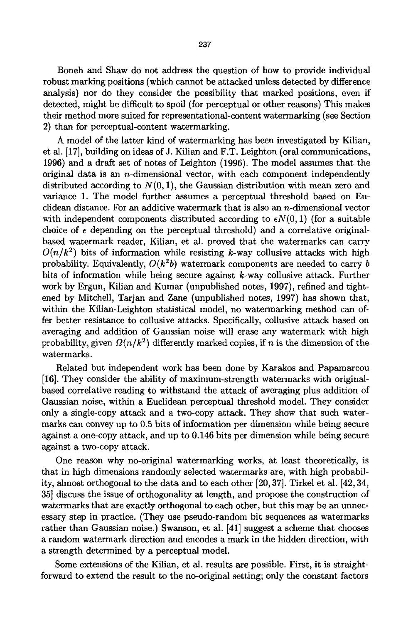Boneh and Shaw do not address the question of how to provide individual robust marking positions (which cannot be attacked unless detected by difference analysis) nor do they consider the possibility that marked positions, even if detected, might be difficult to spoil (for perceptual or other reasons) This makes their method more suited for representational-content watermarking (see Section 2) than for perceptual-content watermarking.

A model of the latter kind of watermarking has been investigated by Kilian, et al. [17], building on ideas of J. Kilian and F.T. Leighton (oral communications, 1996) and a draft set of notes of Leighton (1996). The model assumes that the original data is an  $n$ -dimensional vector, with each component independently distributed according to  $N(0, 1)$ , the Gaussian distribution with mean zero and variance 1. The model further assumes a perceptual threshold based on Euclidean distance. For an additive watermark that is also an  $n$ -dimensional vector with independent components distributed according to  $\epsilon N(0,1)$  (for a suitable choice of  $\epsilon$  depending on the perceptual threshold) and a correlative originalbased watermark reader, Kilian, et al. proved that the watermarks can carry  $O(n/k^2)$  bits of information while resisting k-way collusive attacks with high probability. Equivalently,  $O(k^2b)$  watermark components are needed to carry b bits of information while being secure against  $k$ -way collusive attack. Further work by Ergun, Kilian and Kumar (unpublished notes, 1997), refined and tightened by Mitchell, Tarjan and Zane (unpublished notes, 1997) has shown that, within the Kilian-Leighton statistical model, no watermarking method can offer better resistance to collusive attacks. Specifically, collusive attack based on averaging and addition of Gaussian noise will erase any watermark with high probability, given  $\Omega(n/k^2)$  differently marked copies, if n is the dimension of the watermarks.

Related but independent work has been done by Karakos and Papamarcou [16]. They consider the ability of maximum-strength watermarks with originalbased correlative reading to withstand the attack of averaging plus addition of Ganssian noise, within a Euclidean perceptual threshold model. They consider only a single-copy attack and a two-copy attack. They show that such watermarks can convey up to 0.5 bits of information per dimension while being secure against a one-copy attack, and up to 0.146 bits per dimension while being secure against a two-copy attack.

One reason why no-original watermarking works, at least theoretically, is that in high dimensions randomly selected watermarks are, with high probability, almost orthogonal to the data and to each other [20, 37]. Tirkel et al. [42, 34, 35] discuss the issue of orthogonality at length, and propose the construction of watermarks that are exactly orthogonal to each other, but this may be an unnecessary step in practice. (They use pseudo-random bit sequences as watermarks rather than Gaussian noise.) Swanson, et al. [41] suggest a scheme that chooses a random watermark direction and encodes a mark in the hidden direction, with a strength determined by a perceptual model.

Some extensions of the Kilian, et al. results are possible. First, it is straightforward to extend the result to the no-original setting; only the constant factors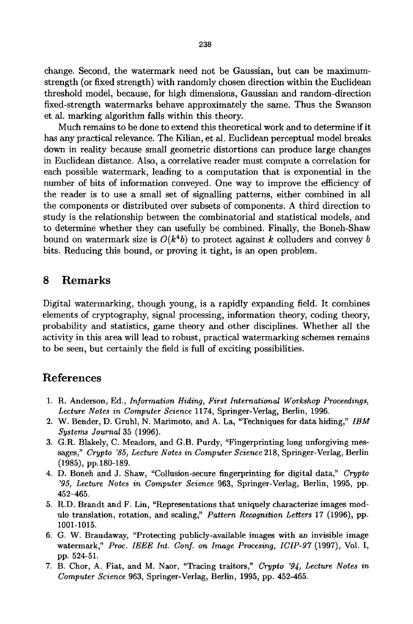change. Second, the watermark need not be Ganssian, but can be maximumstrength (or fixed strength) with randomly chosen direction within the Euclidean threshold model, because, for high dimensions, Gaussian and random-direction fixed-strength watermarks behave approximately the same. Thus the Swanson et al. marking algorithm falls within this theory.

Much remains to be done to extend this theoretical work and to determine if it has any practical relevance. The Kilian, et al. Euclidean perceptual model breaks down in reality because small geometric distortions can produce large changes in Euclidean distance. Also, a correlative reader must compute a correlation for each possible watermark, leading to a computation that is exponential in the number of bits of information conveyed. One way to improve the efficiency of the reader is to use a small set of signalling patterns, either combined in all the components or distributed over subsets of components. A third direction to study is the relationship between the combinatorial and statistical models, and to determine whether they can usefully be combined. Finally, the Boneh-Shaw bound on watermark size is  $O(k^4b)$  to protect against k colluders and convey b bits. Reducing this bound, or proving it tight, is an open problem.

#### **8 Remarks**

Digital watermarking, though young, is a rapidly expanding field. It combines elements of cryptography, signal processing, information theory, coding theory, probability and statistics, game theory and other disciplines. Whether all the activity in this area will lead to robust, practical watermarking schemes remains to be seen, but certainly the field is full of exciting possibilities.

## **References**

- 1. R. Anderson, Ed., *Information Hiding, First International Workshop Proceedings, Lecture Notes in Computer Science* 1174, Springer-Verlag, Berlin, 1996.
- 2. W. Bender, D. Gruhl, N. Marimoto, and A. La, "Techniques for data hiding," *IBM Systems Journal* 35 (1996).
- 3. G.R. Blakely, C. Meadors, and G.B. Purdy, "Fingerprinting long unforgiving messages," *Crypto '85, Lecture Notes in Computer Science* 218, Springer-Verlag, Berlin (1985), pp.180-189.
- 4. D. Boneh and J. Shaw, "Collusion-secure fingerprinting for digital data," *Crypto '95, Lecture Notes in Computer Science* 963, Springer-Verlag, Berlin, 1995, pp. 452-465.
- 5. R.D. Brandt and F. Lin, "Representations that uniquely characterize images modulo translation, rotation, and scaling," *Pattern Recognition Letters* 17 (1996), pp. 1001-1015.
- 6. G. W. Braudaway, "Protecting publicly-available images with an invisible image watermark," *Proc. IEEE Int. Conf. on Image Procesing, ICIP-97* (1997), Vol. I, pp. 524-51.
- 7. B. Chor, A. Fiat, and M. Naor, "Tracing traitors," *Crypto '94, Lecture Notes in Computer Science* 963, Springer-Verlag, Berlin, 1995, pp. 452-465.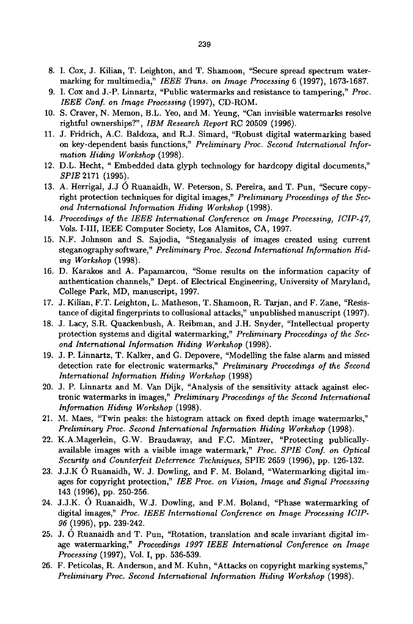- 8. I. Cox, J. Kilian, T. Leighton, and T. Shamoon, "Secure spread spectrum watermarking for multimedia," *IEEE Trans. on Image Processing* 6 (1997), 1673-1687.
- 9. I. Cox and J.-P. Linnartz, "Public watermarks and resistance to tampering," *Proc. IEEE Conf. on Image Processing* (1997), CD-ROM.
- 10. S. Craver, N. Memon, B.L. Yeo, and M. Yeung, "Can invisible watermarks resolve rightful ownerships?", *IBM Research Report* RC 20509 (1996).
- 11. J. Fridrich, A.C. Baldoza, and R.J. Simard, "Robust digital watermarking based on key-dependent basis functions," *Preliminary Proc. Second International Information Hiding Workshop* (1998).
- 12. D.L. Hecht, " Embedded data glyph technology for hardcopy digital documents," *SPIE* 2171 (1995).
- 13. A. Herrigal, J.J 6 Ruanaidh, W. Peterson, S. Pereira, and T. Pun, "Secure copyright protection techniques for digital images," *Preliminary Proceedings of the Second International Information Hiding Workshop* (1998).
- 14. *Proceedings of the IEEE International Conference on Image Processing, ICIP-47,*  Vols. I-III, IEEE Computer Society, Los Alamitos, CA, 1997.
- 15. N.F. Johnson and S. Sajodia, "Steganalysis of images created using current steganography software," *Preliminary Proc. Second International Information Hiding Workshop* (1998).
- 16. D. Karakos and A. Papamarcou, "Some results on the information capacity of authentication channels," Dept. of Electrical Engineering, University of Maryland, College Park, MD, manuscript, 1997.
- 17. J. Kilian, F.T. Leighton, L. Matheson, T. Shamoon, R. Tarjan, and F. Zane, "Resistance of digital fingerprints to collusional attacks," unpublished manuscript (1997).
- 18. J. Lacy, S.R. Quackenbush, A. Reibman, and J.H. Snyder, "Intellectual property protection systems and digital watermarking," *Preliminary Proceedings of the Second International Information Hiding Workshop* (1998).
- 19. J. P. Linnartz, T. Kalker, and G. Depovere, "Modelling the false alarm and missed detection rate for electronic watermarks," *Preliminary Proceedings of the Second International Information Hiding Workshop* (1998)
- 20. J. P. Linnartz and M. Van Dijk, "Analysis of the sensitivity attack against electronic watermarks in images," *Preliminary Proceeding s of the Second International Information Hiding Workshop* (1998).
- 21. M. Maes, *"Twin* peaks: the histogram attack on fixed depth image watermarks," *Preliminary Proc. Second International Information Hiding Workshop* (1998).
- 22. K.A.Magerlein, G.W. Brandaway, and F.C. Mintzer, "Protecting publicallyavailable images with a visible image watermark," *Proc. SPIE Conf. on Optical Security and Counterfeit Deterrence Techniques,* SPIE 2659 (1996), pp. 126-132.
- 23. J.J.K 6 Ruanaidh, W. J. Dowling, and F. M. Boland, "Watermarking digital images for copyright protection," *IEE Proc. on Vision, Image and Signal Processing*  143 (1996), pp. 250-256.
- 24. J.J.K. O Ruanaidh, W.J. Dowling, and F.M. Boland, "Phase watermarking of digital images," *Proc. IEEE International Conference on Image Processing ICIP-96* (1996), pp. 239-242.
- 25. J. 6 Ruanaidh and T. Pun, "Rotation, translation and scale invariant digital image watermarking," *Proceedings 1997 IEEE International Conference on Image Processing* (1997), Vol. I, pp. 536-539.
- 26. F. Peticolas, R. Anderson, and M. Kuhn, "Attacks on copyright marking systems," *Preliminary Proc. Second International Information Hiding Workshop (1998).*